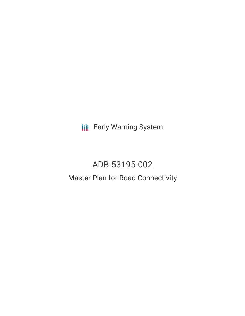**III** Early Warning System

# ADB-53195-002 Master Plan for Road Connectivity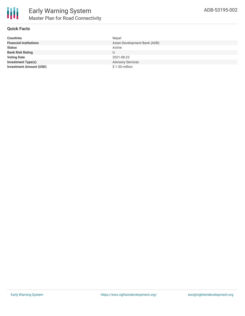

# **Quick Facts**

| <b>Countries</b>               | Nepal                        |
|--------------------------------|------------------------------|
| <b>Financial Institutions</b>  | Asian Development Bank (ADB) |
| <b>Status</b>                  | Active                       |
| <b>Bank Risk Rating</b>        | U                            |
| <b>Voting Date</b>             | 2021-08-23                   |
| <b>Investment Type(s)</b>      | <b>Advisory Services</b>     |
| <b>Investment Amount (USD)</b> | \$1.50 million               |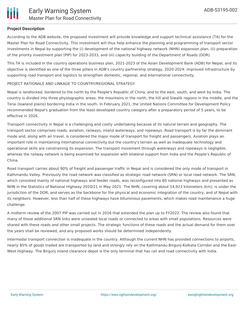

## **Project Description**

According to the ADB website, the proposed investment will provide knowledge and support technical assistance (TA) for the Master Plan for Road Connectivity. This investment will thus help enhance the planning and programming of transport sector investments in Nepal by supporting the (i) development of the national highway network (NHN) expansion plan, (ii) preparation of the priority investment plan (PIP) for 2023-2033, and (iii) capacity building of the Department of Roads (DOR).

This TA is included in the country operations business plan, 2021-2023 of the Asian Development Bank (ADB) for Nepal, and its objective is identified as one of the three pillars in ADB's country partnership strategy, 2020-2024: improved infrastructure by supporting road transport and logistics to strengthen domestic, regional, and international connectivity.

#### PROJECT RATIONALE AND LINKAGE TO COUNTRY/REGIONAL STRATEGY

Nepal is landlocked, bordered to the north by the People's Republic of China, and to the east, south, and west by India. The country is divided into three physiographic areas: the mountains in the north, the hill and Siwalik regions in the middle, and the Terai (lowland plains) bordering India in the south. In February 2021, the United Nations Committee for Development Policy recommended Nepal's graduation from the least-developed country category after a preparatory period of 5 years, to be effective in 2026.

Transport connectivity in Nepal is a challenging and costly undertaking because of its natural terrain and geography. The transport sector comprises roads, aviation, railways, inland waterways, and ropeways. Road transport is by far the dominant mode and, along with air travel, is considered the major mode of transport for freight and passengers. Aviation plays an important role in maintaining international connectivity but the country's terrain as well as inadequate technology and operational skills are constraining its expansion. The transport movement through waterways and ropeways is negligible, whereas the railway network is being examined for expansion with bilateral support from India and the People's Republic of China.

Road transport carries about 90% of freight and passenger traffic in Nepal and is considered the only mode of transport in Kathmandu Valley. Previously the road network was classified as strategic road network (SRN) or local road network. The SRN, which consisted mainly of national highways and feeder roads, was reconfigured into 80 national highways and presented as NHN in the Statistics of National Highway 2020/21 in May 2021. The NHN, covering about 14,923 kilometers (km), is under the jurisdiction of the DOR, and serves as the backbone for the physical and economic integration of the country, and of Nepal with its neighbors. However, less than half of these highways have bituminous pavements, which makes road maintenance a huge challenge.

A midterm review of the 2007 PIP was carried out in 2016 that extended the plan up to FY2022. The review also found that many of those additional SRN links were unsealed local roads or connected to areas with small populations. Resources were shared with these roads and other small projects. The strategic functions of these roads and the actual demand for them over the years shall be reviewed, and any proposed works should be determined independently.

Intermodal transport connection is inadequate in the country. Although the current NHN has provided connections to airports, nearly 85% of goods traded are transported by land and strongly rely on the Kathmandu-Birgunj-Kolkata Corridor and the East-West Highway. The Birgunj inland clearance depot is the only terminal that has rail and road connectivity with India.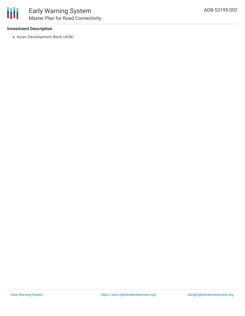

## **Investment Description**

Asian Development Bank (ADB)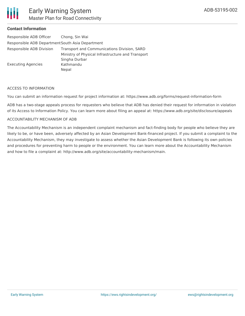

## **Contact Information**

| Responsible ADB Officer                          | Chong, Sin Wai                                    |
|--------------------------------------------------|---------------------------------------------------|
| Responsible ADB Department South Asia Department |                                                   |
| Responsible ADB Division                         | Transport and Communications Division, SARD       |
|                                                  | Ministry of Physical Infrastructure and Transport |
|                                                  | Singha Durbar                                     |
| Executing Agencies                               | Kathmandu                                         |
|                                                  | Nepal                                             |
|                                                  |                                                   |

#### ACCESS TO INFORMATION

You can submit an information request for project information at: https://www.adb.org/forms/request-information-form

ADB has a two-stage appeals process for requesters who believe that ADB has denied their request for information in violation of its Access to Information Policy. You can learn more about filing an appeal at: https://www.adb.org/site/disclosure/appeals

#### ACCOUNTABILITY MECHANISM OF ADB

The Accountability Mechanism is an independent complaint mechanism and fact-finding body for people who believe they are likely to be, or have been, adversely affected by an Asian Development Bank-financed project. If you submit a complaint to the Accountability Mechanism, they may investigate to assess whether the Asian Development Bank is following its own policies and procedures for preventing harm to people or the environment. You can learn more about the Accountability Mechanism and how to file a complaint at: http://www.adb.org/site/accountability-mechanism/main.